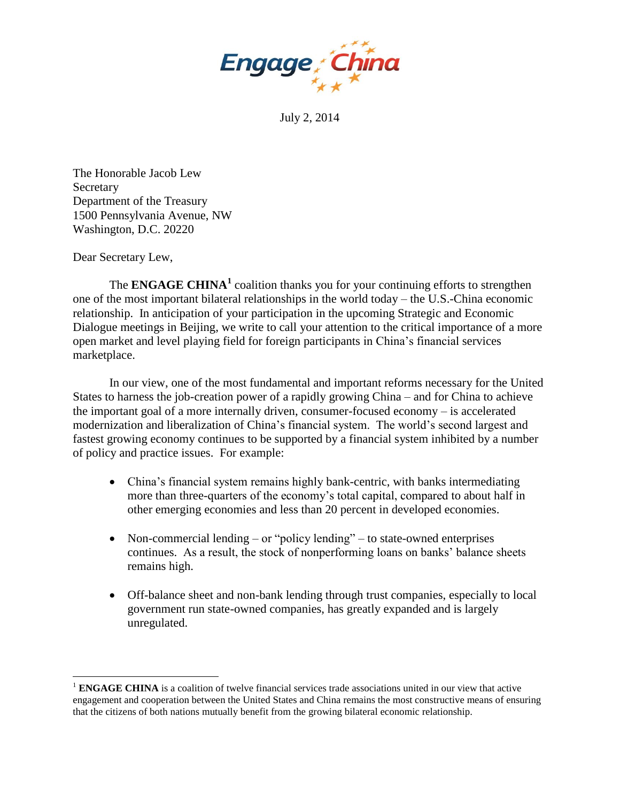

July 2, 2014

The Honorable Jacob Lew **Secretary** Department of the Treasury 1500 Pennsylvania Avenue, NW Washington, D.C. 20220

Dear Secretary Lew,

 $\overline{a}$ 

The **ENGAGE CHINA<sup>1</sup>** coalition thanks you for your continuing efforts to strengthen one of the most important bilateral relationships in the world today – the U.S.-China economic relationship. In anticipation of your participation in the upcoming Strategic and Economic Dialogue meetings in Beijing, we write to call your attention to the critical importance of a more open market and level playing field for foreign participants in China's financial services marketplace.

In our view, one of the most fundamental and important reforms necessary for the United States to harness the job-creation power of a rapidly growing China – and for China to achieve the important goal of a more internally driven, consumer-focused economy – is accelerated modernization and liberalization of China's financial system. The world's second largest and fastest growing economy continues to be supported by a financial system inhibited by a number of policy and practice issues. For example:

- China's financial system remains highly bank-centric, with banks intermediating more than three-quarters of the economy's total capital, compared to about half in other emerging economies and less than 20 percent in developed economies.
- Non-commercial lending or "policy lending" to state-owned enterprises continues. As a result, the stock of nonperforming loans on banks' balance sheets remains high.
- Off-balance sheet and non-bank lending through trust companies, especially to local government run state-owned companies, has greatly expanded and is largely unregulated.

<sup>&</sup>lt;sup>1</sup> **ENGAGE CHINA** is a coalition of twelve financial services trade associations united in our view that active engagement and cooperation between the United States and China remains the most constructive means of ensuring that the citizens of both nations mutually benefit from the growing bilateral economic relationship.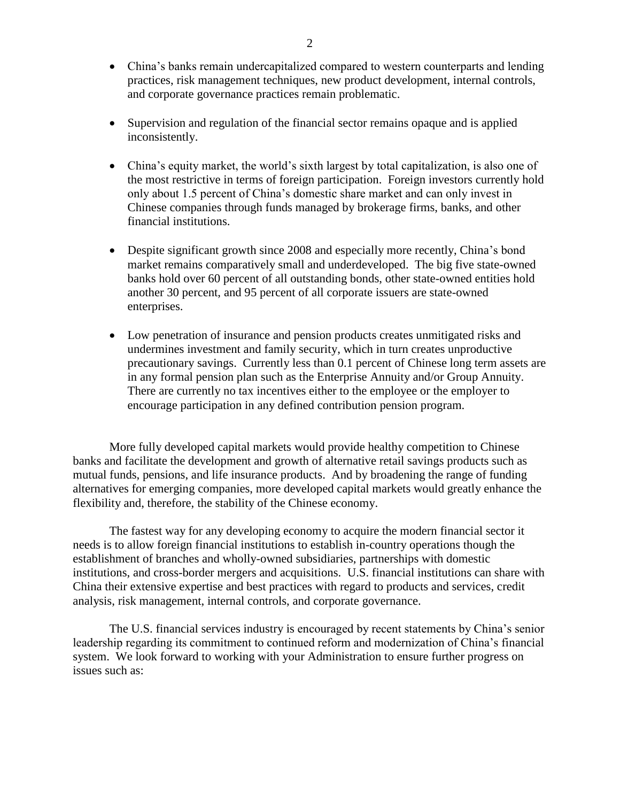- China's banks remain undercapitalized compared to western counterparts and lending practices, risk management techniques, new product development, internal controls, and corporate governance practices remain problematic.
- Supervision and regulation of the financial sector remains opaque and is applied inconsistently.
- China's equity market, the world's sixth largest by total capitalization, is also one of the most restrictive in terms of foreign participation. Foreign investors currently hold only about 1.5 percent of China's domestic share market and can only invest in Chinese companies through funds managed by brokerage firms, banks, and other financial institutions.
- Despite significant growth since 2008 and especially more recently, China's bond market remains comparatively small and underdeveloped. The big five state-owned banks hold over 60 percent of all outstanding bonds, other state-owned entities hold another 30 percent, and 95 percent of all corporate issuers are state-owned enterprises.
- Low penetration of insurance and pension products creates unmitigated risks and undermines investment and family security, which in turn creates unproductive precautionary savings. Currently less than 0.1 percent of Chinese long term assets are in any formal pension plan such as the Enterprise Annuity and/or Group Annuity. There are currently no tax incentives either to the employee or the employer to encourage participation in any defined contribution pension program.

More fully developed capital markets would provide healthy competition to Chinese banks and facilitate the development and growth of alternative retail savings products such as mutual funds, pensions, and life insurance products. And by broadening the range of funding alternatives for emerging companies, more developed capital markets would greatly enhance the flexibility and, therefore, the stability of the Chinese economy.

The fastest way for any developing economy to acquire the modern financial sector it needs is to allow foreign financial institutions to establish in-country operations though the establishment of branches and wholly-owned subsidiaries, partnerships with domestic institutions, and cross-border mergers and acquisitions. U.S. financial institutions can share with China their extensive expertise and best practices with regard to products and services, credit analysis, risk management, internal controls, and corporate governance.

The U.S. financial services industry is encouraged by recent statements by China's senior leadership regarding its commitment to continued reform and modernization of China's financial system. We look forward to working with your Administration to ensure further progress on issues such as: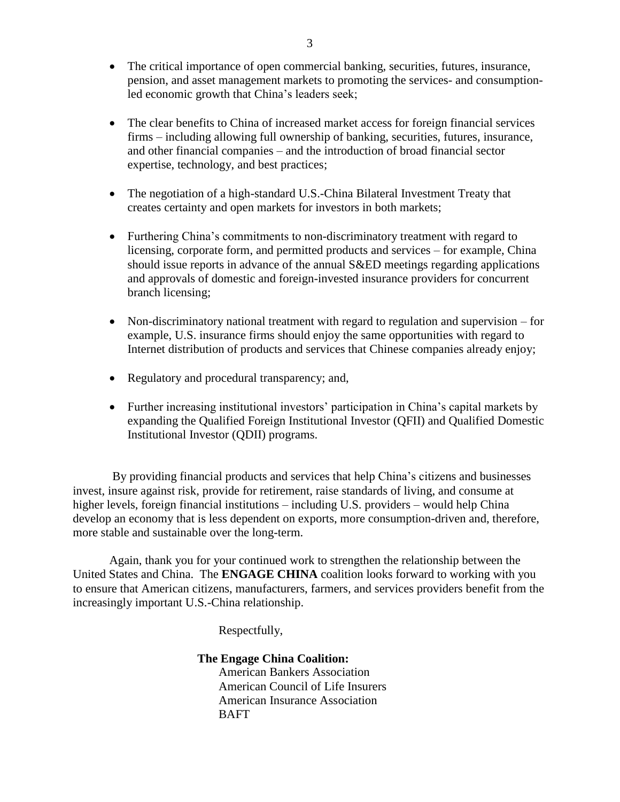- The critical importance of open commercial banking, securities, futures, insurance, pension, and asset management markets to promoting the services- and consumptionled economic growth that China's leaders seek;
- The clear benefits to China of increased market access for foreign financial services firms – including allowing full ownership of banking, securities, futures, insurance, and other financial companies – and the introduction of broad financial sector expertise, technology, and best practices;
- The negotiation of a high-standard U.S.-China Bilateral Investment Treaty that creates certainty and open markets for investors in both markets;
- Furthering China's commitments to non-discriminatory treatment with regard to licensing, corporate form, and permitted products and services – for example, China should issue reports in advance of the annual S&ED meetings regarding applications and approvals of domestic and foreign-invested insurance providers for concurrent branch licensing;
- Non-discriminatory national treatment with regard to regulation and supervision for example, U.S. insurance firms should enjoy the same opportunities with regard to Internet distribution of products and services that Chinese companies already enjoy;
- Regulatory and procedural transparency; and,
- Further increasing institutional investors' participation in China's capital markets by expanding the Qualified Foreign Institutional Investor (QFII) and Qualified Domestic Institutional Investor (QDII) programs.

By providing financial products and services that help China's citizens and businesses invest, insure against risk, provide for retirement, raise standards of living, and consume at higher levels, foreign financial institutions – including U.S. providers – would help China develop an economy that is less dependent on exports, more consumption-driven and, therefore, more stable and sustainable over the long-term.

Again, thank you for your continued work to strengthen the relationship between the United States and China. The **ENGAGE CHINA** coalition looks forward to working with you to ensure that American citizens, manufacturers, farmers, and services providers benefit from the increasingly important U.S.-China relationship.

Respectfully,

**The Engage China Coalition:** 

American Bankers Association American Council of Life Insurers American Insurance Association BAFT